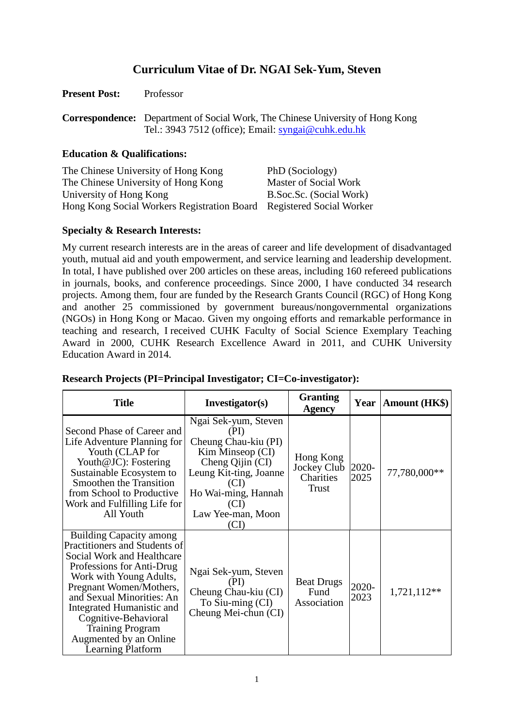# **Curriculum Vitae of Dr. NGAI Sek-Yum, Steven**

| <b>Present Post:</b> | Professor |
|----------------------|-----------|
|                      |           |

**Correspondence:** Department of Social Work, The Chinese University of Hong Kong Tel.: 3943 7512 (office); Email: [syngai@cuhk.edu.hk](mailto:syngai@cuhk.edu.hk)

### **Education & Qualifications:**

| The Chinese University of Hong Kong                                  | PhD (Sociology)         |
|----------------------------------------------------------------------|-------------------------|
| The Chinese University of Hong Kong                                  | Master of Social Work   |
| University of Hong Kong                                              | B.Soc.Sc. (Social Work) |
| Hong Kong Social Workers Registration Board Registered Social Worker |                         |

# **Specialty & Research Interests:**

My current research interests are in the areas of career and life development of disadvantaged youth, mutual aid and youth empowerment, and service learning and leadership development. In total, I have published over 200 articles on these areas, including 160 refereed publications in journals, books, and conference proceedings. Since 2000, I have conducted 34 research projects. Among them, four are funded by the Research Grants Council (RGC) of Hong Kong and another 25 commissioned by government bureaus/nongovernmental organizations (NGOs) in Hong Kong or Macao. Given my ongoing efforts and remarkable performance in teaching and research, I received CUHK Faculty of Social Science Exemplary Teaching Award in 2000, CUHK Research Excellence Award in 2011, and CUHK University Education Award in 2014.

| <b>Title</b>                                                                                                                                                                                                                                                                                                                                 | Investigator(s)                                                                                                                                                                   | <b>Granting</b><br><b>Agency</b>                      | Year          | <b>Amount (HK\$)</b> |
|----------------------------------------------------------------------------------------------------------------------------------------------------------------------------------------------------------------------------------------------------------------------------------------------------------------------------------------------|-----------------------------------------------------------------------------------------------------------------------------------------------------------------------------------|-------------------------------------------------------|---------------|----------------------|
| Second Phase of Career and<br>Life Adventure Planning for<br>Youth (CLAP for<br>Youth@JC): Fostering<br>Sustainable Ecosystem to<br><b>Smoothen the Transition</b><br>from School to Productive<br>Work and Fulfilling Life for<br>All Youth                                                                                                 | Ngai Sek-yum, Steven<br>(PI)<br>Cheung Chau-kiu (PI)<br>Kim Minseop (CI)<br>Cheng Qijin (CI)<br>Leung Kit-ting, Joanne<br>Ho Wai-ming, Hannah<br>(CD<br>Law Yee-man, Moon<br>(CI) | Hong Kong<br>Jockey Club<br>Charities<br><b>Trust</b> | 2020-<br>2025 | 77,780,000**         |
| <b>Building Capacity among</b><br>Practitioners and Students of<br>Social Work and Healthcare<br>Professions for Anti-Drug<br>Work with Young Adults,<br>Pregnant Women/Mothers,<br>and Sexual Minorities: An<br>Integrated Humanistic and<br>Cognitive-Behavioral<br><b>Training Program</b><br>Augmented by an Online<br>Learning Platform | Ngai Sek-yum, Steven<br>(PI)<br>Cheung Chau-kiu (CI)<br>To Siu-ming (CI)<br>Cheung Mei-chun (CI)                                                                                  | <b>Beat Drugs</b><br>Fund<br>Association              | 2020-<br>2023 | 1,721,112**          |

# **Research Projects (PI=Principal Investigator; CI=Co-investigator):**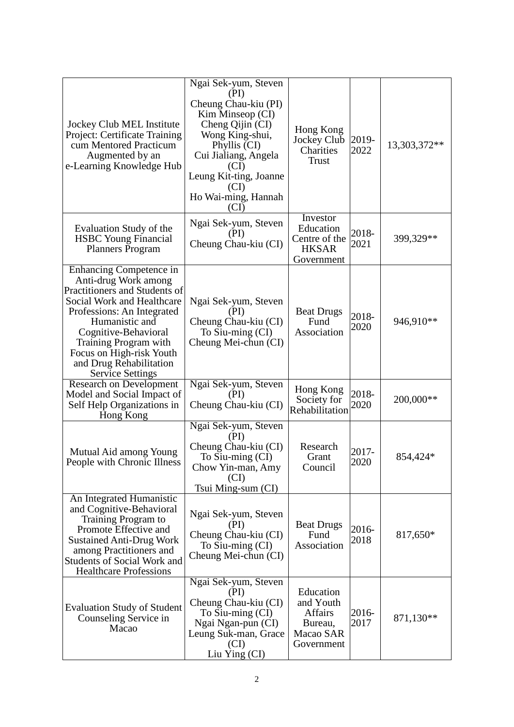| Jockey Club MEL Institute<br>Project: Certificate Training<br>cum Mentored Practicum<br>Augmented by an<br>e-Learning Knowledge Hub                                                                                                                                                                      | Ngai Sek-yum, Steven<br>(PI)<br>Cheung Chau-kiu (PI)<br>Kim Minseop (CI)<br>Cheng Qijin (CI)<br>Wong King-shui,<br>Phyllis (CI)<br>Cui Jialiang, Angela<br>(CI)<br>Leung Kit-ting, Joanne<br>(CI)<br>Ho Wai-ming, Hannah<br>(CI) | Hong Kong<br>Jockey Club<br>Charities<br><b>Trust</b>                          | 2019-<br>2022 | 13,303,372** |
|----------------------------------------------------------------------------------------------------------------------------------------------------------------------------------------------------------------------------------------------------------------------------------------------------------|----------------------------------------------------------------------------------------------------------------------------------------------------------------------------------------------------------------------------------|--------------------------------------------------------------------------------|---------------|--------------|
| Evaluation Study of the<br><b>HSBC</b> Young Financial<br><b>Planners Program</b>                                                                                                                                                                                                                        | Ngai Sek-yum, Steven<br>(PI)<br>Cheung Chau-kiu (CI)                                                                                                                                                                             | Investor<br>Education<br>Centre of the<br><b>HKSAR</b><br>Government           | 2018-<br>2021 | 399,329**    |
| Enhancing Competence in<br>Anti-drug Work among<br>Practitioners and Students of<br>Social Work and Healthcare<br>Professions: An Integrated<br>Humanistic and<br>Cognitive-Behavioral<br><b>Training Program with</b><br>Focus on High-risk Youth<br>and Drug Rehabilitation<br><b>Service Settings</b> | Ngai Sek-yum, Steven<br>(PI)<br>Cheung Chau-kiu (CI)<br>To Siu-ming (CI)<br>Cheung Mei-chun (CI)                                                                                                                                 | <b>Beat Drugs</b><br>Fund<br>Association                                       | 2018-<br>2020 | 946,910**    |
| Research on Development<br>Model and Social Impact of<br>Self Help Organizations in<br>Hong Kong                                                                                                                                                                                                         | Ngai Sek-yum, Steven<br>(PI)<br>Cheung Chau-kiu (CI)                                                                                                                                                                             | Hong Kong<br>Society for<br>Rehabilitation                                     | 2018-<br>2020 | 200,000**    |
| Mutual Aid among Young<br>People with Chronic Illness                                                                                                                                                                                                                                                    | Ngai Sek-yum, Steven<br>(PI)<br>Cheung Chau-kiu (CI)<br>To Siu-ming (CI)<br>Chow Yin-man, Amy<br>(CI)<br>Tsui Ming-sum (CI)                                                                                                      | Research<br>Grant<br>Council                                                   | 2017-<br>2020 | 854,424*     |
| An Integrated Humanistic<br>and Cognitive-Behavioral<br>Training Program to<br>Promote Effective and<br><b>Sustained Anti-Drug Work</b><br>among Practitioners and<br><b>Students of Social Work and</b><br><b>Healthcare Professions</b>                                                                | Ngai Sek-yum, Steven<br>(PI)<br>Cheung Chau-kiu (CI)<br>To Siu-ming (CI)<br>Cheung Mei-chun (CI)                                                                                                                                 | <b>Beat Drugs</b><br>Fund<br>Association                                       | 2016-<br>2018 | 817,650*     |
| <b>Evaluation Study of Student</b><br>Counseling Service in<br>Macao                                                                                                                                                                                                                                     | Ngai Sek-yum, Steven<br>(PI)<br>Cheung Chau-kiu (CI)<br>To Siu-ming (CI)<br>Ngai Ngan-pun (CI)<br>Leung Suk-man, Grace<br>(CI)<br>Liu Ying (CI)                                                                                  | Education<br>and Youth<br><b>Affairs</b><br>Bureau,<br>Macao SAR<br>Government | 2016-<br>2017 | 871,130**    |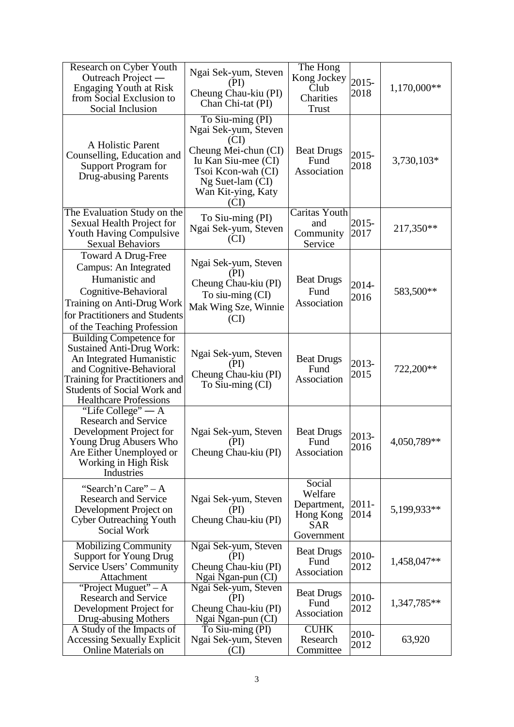| Research on Cyber Youth<br>Outreach Project —<br><b>Engaging Youth at Risk</b><br>from Social Exclusion to<br>Social Inclusion                                                                                               | Ngai Sek-yum, Steven<br>(PI)<br>Cheung Chau-kiu (PI)<br>Chan Chi-tat (PI)                                                                                               | The Hong<br>Kong Jockey<br>Club<br>Charities<br>Trust                     | 2015-<br>2018    | 1,170,000** |
|------------------------------------------------------------------------------------------------------------------------------------------------------------------------------------------------------------------------------|-------------------------------------------------------------------------------------------------------------------------------------------------------------------------|---------------------------------------------------------------------------|------------------|-------------|
| A Holistic Parent<br>Counselling, Education and<br>Support Program for<br><b>Drug-abusing Parents</b>                                                                                                                        | To Siu-ming (PI)<br>Ngai Sek-yum, Steven<br>(CI)<br>Cheung Mei-chun (CI)<br>Iu Kan Siu-mee (CI)<br>Tsoi Kcon-wah (CI)<br>Ng Suet-lam (CI)<br>Wan Kit-ying, Katy<br>(CT) | <b>Beat Drugs</b><br>Fund<br>Association                                  | 2015-<br>2018    | 3,730,103*  |
| The Evaluation Study on the<br>Sexual Health Project for<br><b>Youth Having Compulsive</b><br><b>Sexual Behaviors</b>                                                                                                        | To Siu-ming (PI)<br>Ngai Sek-yum, Steven<br>(CI)                                                                                                                        | Caritas Youth<br>and<br>Community<br>Service                              | 2015-<br>2017    | 217,350**   |
| <b>Toward A Drug-Free</b><br>Campus: An Integrated<br>Humanistic and<br>Cognitive-Behavioral<br>Training on Anti-Drug Work<br>for Practitioners and Students<br>of the Teaching Profession                                   | Ngai Sek-yum, Steven<br>(PI)<br>Cheung Chau-kiu (PI)<br>To siu-ming (CI)<br>Mak Wing Sze, Winnie<br>(CI)                                                                | <b>Beat Drugs</b><br>Fund<br>Association                                  | 2014-<br>2016    | 583,500**   |
| Building Competence for<br><b>Sustained Anti-Drug Work:</b><br>An Integrated Humanistic<br>and Cognitive-Behavioral<br>Training for Practitioners and<br><b>Students of Social Work and</b><br><b>Healthcare Professions</b> | Ngai Sek-yum, Steven<br>(PI)<br>Cheung Chau-kiu (PI)<br>To Siu-ming (CI)                                                                                                | <b>Beat Drugs</b><br>Fund<br>Association                                  | 2013-<br>2015    | 722,200**   |
| "Life College" $- A$<br><b>Research and Service</b><br>Development Project for<br>Young Drug Abusers Who<br>Are Either Unemployed or<br>Working in High Risk<br>Industries                                                   | Ngai Sek-yum, Steven<br>(PI)<br>Cheung Chau-kiu (PI)                                                                                                                    | <b>Beat Drugs</b><br>Fund<br>Association                                  | 2013-<br>2016    | 4,050,789** |
| "Search'n Care" – A<br><b>Research and Service</b><br>Development Project on<br><b>Cyber Outreaching Youth</b><br>Social Work                                                                                                | Ngai Sek-yum, Steven<br>(PI)<br>Cheung Chau-kiu (PI)                                                                                                                    | Social<br>Welfare<br>Department,<br>Hong Kong<br><b>SAR</b><br>Government | $2011 -$<br>2014 | 5,199,933** |
| <b>Mobilizing Community</b><br><b>Support for Young Drug</b><br>Service Users' Community<br>Attachment                                                                                                                       | Ngai Sek-yum, Steven<br>(PI)<br>Cheung Chau-kiu (PI)<br>Ngai Ngan-pun (CI)                                                                                              | <b>Beat Drugs</b><br>Fund<br>Association                                  | 2010-<br>2012    | 1,458,047** |
| "Project Muguet" $-A$<br><b>Research and Service</b><br>Development Project for<br>Drug-abusing Mothers                                                                                                                      | Ngai Sek-yum, Steven<br>(PI)<br>Cheung Chau-kiu (PI)<br>Ngai Ngan-pun (CI)                                                                                              | <b>Beat Drugs</b><br>Fund<br>Association                                  | 2010-<br>2012    | 1,347,785** |
| A Study of the Impacts of<br><b>Accessing Sexually Explicit</b><br><b>Online Materials on</b>                                                                                                                                | To Siu-ming (PI)<br>Ngai Sek-yum, Steven<br>(CI)                                                                                                                        | <b>CUHK</b><br>Research<br>Committee                                      | 2010-<br>2012    | 63,920      |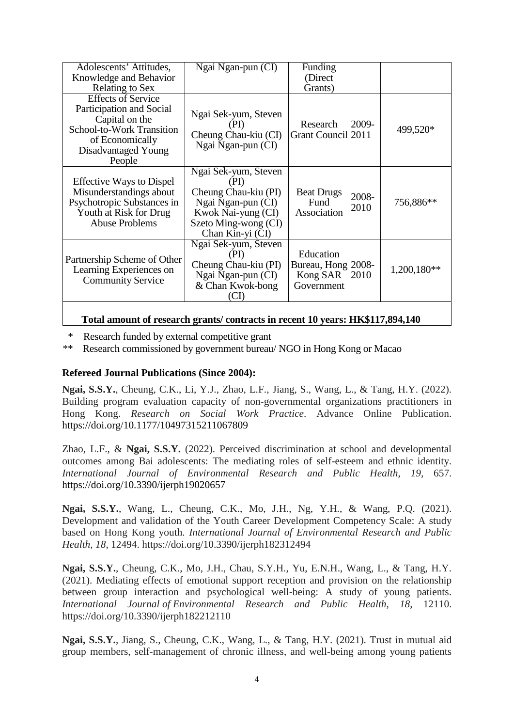| Adolescents' Attitudes,<br>Knowledge and Behavior<br>Relating to Sex                                                                                            | Ngai Ngan-pun (CI)                                                                                                                           | Funding<br>(Direct)<br>Grants)                            |               |             |
|-----------------------------------------------------------------------------------------------------------------------------------------------------------------|----------------------------------------------------------------------------------------------------------------------------------------------|-----------------------------------------------------------|---------------|-------------|
| <b>Effects of Service</b><br>Participation and Social<br>Capital on the<br><b>School-to-Work Transition</b><br>of Economically<br>Disadvantaged Young<br>People | Ngai Sek-yum, Steven<br>(PI)<br>Cheung Chau-kiu (CI)<br>Ngai Ngan-pun (CI)                                                                   | Research<br>Grant Council 2011                            | 2009-         | 499,520*    |
| <b>Effective Ways to Dispel</b><br>Misunderstandings about<br>Psychotropic Substances in<br>Youth at Risk for Drug<br><b>Abuse Problems</b>                     | Ngai Sek-yum, Steven<br>(PI)<br>Cheung Chau-kiu (PI)<br>Ngai Ngan-pun (CI)<br>Kwok Nai-yung (CI)<br>Szeto Ming-wong (CI)<br>Chan Kin-yi (CI) | <b>Beat Drugs</b><br>Fund<br>Association                  | 2008-<br>2010 | 756,886**   |
| Partnership Scheme of Other<br>Learning Experiences on<br><b>Community Service</b>                                                                              | Ngai Sek-yum, Steven<br>(PI)<br>Cheung Chau-kiu (PI)<br>Ngai Ngan-pun (CI)<br>& Chan Kwok-bong<br>(CI)                                       | Education<br>Bureau, Hong 2008-<br>Kong SAR<br>Government | 2010          | 1,200,180** |
|                                                                                                                                                                 |                                                                                                                                              |                                                           |               |             |

#### **Total amount of research grants/ contracts in recent 10 years: HK\$117,894,140**

\* Research funded by external competitive grant

\*\* Research commissioned by government bureau/ NGO in Hong Kong or Macao

# **Refereed Journal Publications (Since 2004):**

**Ngai, S.S.Y.**, Cheung, C.K., Li, Y.J., Zhao, L.F., Jiang, S., Wang, L., & Tang, H.Y. (2022). Building program evaluation capacity of non-governmental organizations practitioners in Hong Kong. *Research on Social Work Practice*. Advance Online Publication. <https://doi.org/10.1177/10497315211067809>

Zhao, L.F., & **Ngai, S.S.Y.** (2022). Perceived discrimination at school and developmental outcomes among Bai adolescents: The mediating roles of self-esteem and ethnic identity. *International Journal of Environmental Research and Public Health, 19,* 657. <https://doi.org/10.3390/ijerph19020657>

**Ngai, S.S.Y.**, Wang, L., Cheung, C.K., Mo, J.H., Ng, Y.H., & Wang, P.Q. (2021). Development and validation of the Youth Career Development Competency Scale: A study based on Hong Kong youth. *International Journal of Environmental Research and Public Health, 18*, 12494. https://doi.org/10.3390/ijerph182312494

**Ngai, S.S.Y.**, Cheung, C.K., Mo, J.H., Chau, S.Y.H., Yu, E.N.H., Wang, L., & Tang, H.Y. (2021). Mediating effects of emotional support reception and provision on the relationship between group interaction and psychological well-being: A study of young patients. *International Journal of Environmental Research and Public Health, 18*, 12110. https://doi.org/10.3390/ijerph182212110

**Ngai, S.S.Y.**, Jiang, S., Cheung, C.K., Wang, L., & Tang, H.Y. (2021). Trust in mutual aid group members, self-management of chronic illness, and well-being among young patients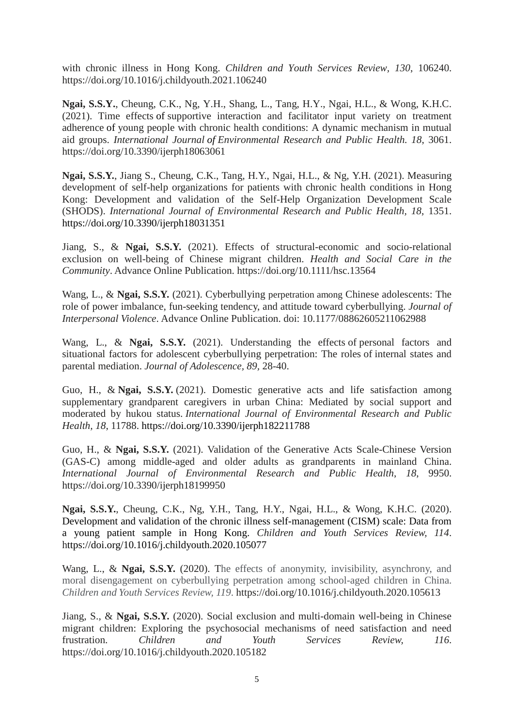with chronic illness in Hong Kong. *Children and Youth Services Review, 130*, 106240. https://doi.org/10.1016/j.childyouth.2021.106240

**Ngai, S.S.Y.**, Cheung, C.K., Ng, Y.H., Shang, L., Tang, H.Y., Ngai, H.L., & Wong, K.H.C. (2021). Time effects of supportive interaction and facilitator input variety on treatment adherence of young people with chronic health conditions: A dynamic mechanism in mutual aid groups. *International Journal of Environmental Research and Public Health. 18*, 3061. https://doi.org/10.3390/ijerph18063061

**Ngai, S.S.Y.**, Jiang S., Cheung, C.K., Tang, H.Y., Ngai, H.L., & Ng, Y.H. (2021). Measuring development of self-help organizations for patients with chronic health conditions in Hong Kong: Development and validation of the Self-Help Organization Development Scale (SHODS). *International Journal of Environmental Research and Public Health, 18*, 1351. <https://doi.org/10.3390/ijerph18031351>

Jiang, S., & **Ngai, S.S.Y.** (2021). Effects of structural-economic and socio-relational exclusion on well-being of Chinese migrant children. *Health and Social Care in the Community*. Advance Online Publication.<https://doi.org/10.1111/hsc.13564>

Wang, L., & **Ngai, S.S.Y.** (2021). Cyberbullying perpetration among Chinese adolescents: The role of power imbalance, fun-seeking tendency, and attitude toward cyberbullying. *Journal of Interpersonal Violence*. Advance Online Publication. doi: 10.1177/08862605211062988

Wang, L., & **Ngai, S.S.Y.** (2021). Understanding the effects of personal factors and situational factors for adolescent cyberbullying perpetration: The roles of internal states and parental mediation. *Journal of Adolescence, 89,* 28-40.

Guo, H., & **Ngai, S.S.Y.** (2021). Domestic generative acts and life satisfaction among supplementary grandparent caregivers in urban China: Mediated by social support and moderated by hukou status. *International Journal of Environmental Research and Public Health, 18*, 11788. <https://doi.org/10.3390/ijerph182211788>

Guo, H., & **Ngai, S.S.Y.** (2021). Validation of the Generative Acts Scale-Chinese Version (GAS-C) among middle-aged and older adults as grandparents in mainland China. *International Journal of Environmental Research and Public Health*, *18*, 9950. https://doi.org/10.3390/ijerph18199950

**Ngai, S.S.Y.**, Cheung, C.K., Ng, Y.H., Tang, H.Y., Ngai, H.L., & Wong, K.H.C. (2020). Development and validation of the chronic illness self-management (CISM) scale: Data from a young patient sample in Hong Kong. *Children and Youth Services Review, 114*. https://doi.org/10.1016/j.childyouth.2020.105077

Wang, L., & **Ngai, S.S.Y.** (2020). The effects of anonymity, invisibility, asynchrony, and moral disengagement on cyberbullying perpetration among school-aged children in China. *Children and Youth Services Review, 119*. https://doi.org/10.1016/j.childyouth.2020.105613

Jiang, S., & **Ngai, S.S.Y.** (2020). Social exclusion and multi-domain well-being in Chinese migrant children: Exploring the psychosocial mechanisms of need satisfaction and need frustration. *Children and Youth Services Review, 116*. <https://doi.org/10.1016/j.childyouth.2020.105182>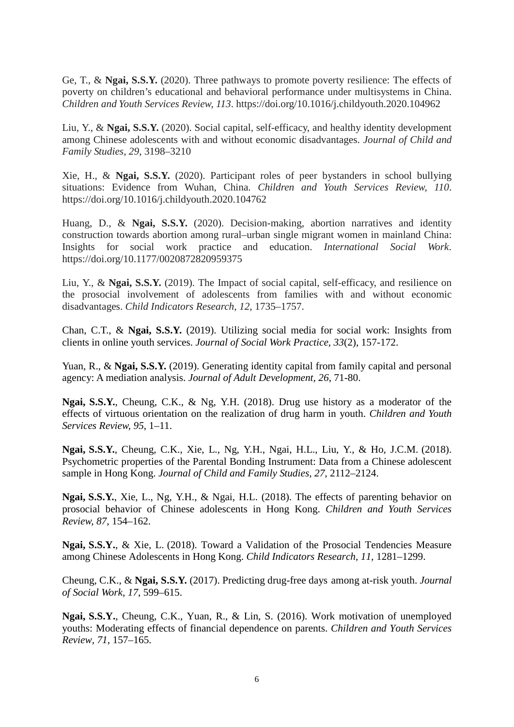Ge, T., & **Ngai, S.S.Y.** (2020). Three pathways to promote poverty resilience: The effects of poverty on children's educational and behavioral performance under multisystems in China. *Children and Youth Services Review, 113*. https://doi.org/10.1016/j.childyouth.2020.104962

Liu, Y., & **Ngai, S.S.Y.** (2020). Social capital, self-efficacy, and healthy identity development among Chinese adolescents with and without economic disadvantages. *Journal of Child and Family Studies, 29*, 3198–3210

Xie, H., & **Ngai, S.S.Y.** (2020). Participant roles of peer bystanders in school bullying situations: Evidence from Wuhan, China. *Children and Youth Services Review, 110*. <https://doi.org/10.1016/j.childyouth.2020.104762>

Huang, D., & **Ngai, S.S.Y.** (2020). Decision-making, abortion narratives and identity construction towards abortion among rural–urban single migrant women in mainland China: Insights for social work practice and education. *International Social Work*. [https://doi.org/10.1177/0020872820959375](https://doi.org/10.1177%2F0020872820959375)

Liu, Y., & **Ngai, S.S.Y.** (2019). The Impact of social capital, self-efficacy, and resilience on the prosocial involvement of adolescents from families with and without economic disadvantages. *Child Indicators Research, 12*, 1735–1757.

Chan, C.T., & **Ngai, S.S.Y.** (2019). Utilizing social media for social work: Insights from clients in online youth services. *Journal of Social Work Practice, 33*(2), 157-172.

Yuan, R., & **Ngai, S.S.Y.** (2019). Generating identity capital from family capital and personal agency: A mediation analysis. *Journal of Adult Development, 26*, 71-80.

**Ngai, S.S.Y.**, Cheung, C.K., & Ng, Y.H. (2018). Drug use history as a moderator of the effects of virtuous orientation on the realization of drug harm in youth. *Children and Youth Services Review, 95*, 1–11.

**Ngai, S.S.Y.**, Cheung, C.K., Xie, L., Ng, Y.H., Ngai, H.L., Liu, Y., & Ho, J.C.M. (2018). Psychometric properties of the Parental Bonding Instrument: Data from a Chinese adolescent sample in Hong Kong. *Journal of Child and Family Studies, 27*, 2112–2124.

**Ngai, S.S.Y.**, Xie, L., Ng, Y.H., & Ngai, H.L. (2018). The effects of parenting behavior on prosocial behavior of Chinese adolescents in Hong Kong. *Children and Youth Services Review, 87*, 154–162.

**Ngai, S.S.Y.**, & Xie, L. (2018). Toward a Validation of the Prosocial Tendencies Measure among Chinese Adolescents in Hong Kong. *Child Indicators Research, 11,* 1281–1299.

Cheung, C.K., & **Ngai, S.S.Y.** (2017). Predicting drug-free days among at-risk youth. *Journal of Social Work, 17*, 599–615.

**Ngai, S.S.Y.**, Cheung, C.K., Yuan, R., & Lin, S. (2016). Work motivation of unemployed youths: Moderating effects of financial dependence on parents. *Children and Youth Services Review, 71*, 157–165.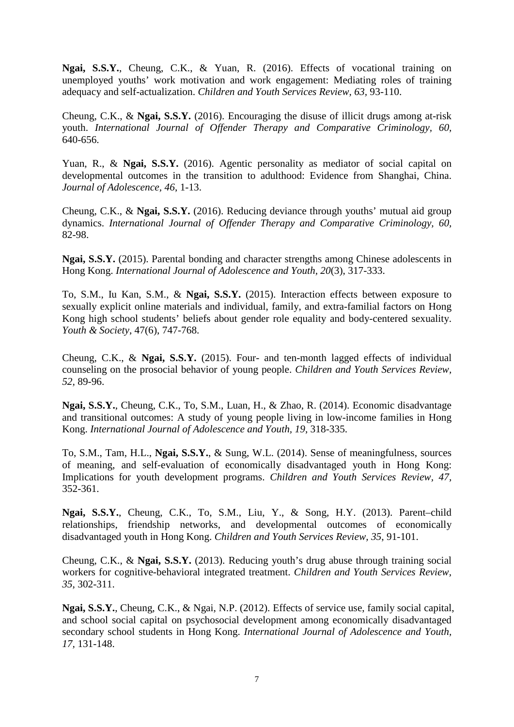**Ngai, S.S.Y.**, Cheung, C.K., & Yuan, R. (2016). Effects of vocational training on unemployed youths' work motivation and work engagement: Mediating roles of training adequacy and self-actualization. *Children and Youth Services Review, 63,* 93-110.

Cheung, C.K., & **Ngai, S.S.Y.** (2016). Encouraging the disuse of illicit drugs among at-risk youth. *International Journal of Offender Therapy and Comparative Criminology, 60,*  640-656.

Yuan, R., & **Ngai, S.S.Y.** (2016). Agentic personality as mediator of social capital on developmental outcomes in the transition to adulthood: Evidence from Shanghai, China. *Journal of Adolescence, 46*, 1-13.

Cheung, C.K., & **Ngai, S.S.Y.** (2016). Reducing deviance through youths' mutual aid group dynamics. *International Journal of Offender Therapy and Comparative Criminology, 60,*  82-98.

**Ngai, S.S.Y.** (2015). Parental bonding and character strengths among Chinese adolescents in Hong Kong. *International Journal of Adolescence and Youth, 20*(3), 317-333.

To, S.M., Iu Kan, S.M., & **Ngai, S.S.Y.** (2015). Interaction effects between exposure to sexually explicit online materials and individual, family, and extra-familial factors on Hong Kong high school students' beliefs about gender role equality and body-centered sexuality. *Youth & Society*, 47(6), 747-768.

Cheung, C.K., & **Ngai, S.S.Y.** (2015). Four- and ten-month lagged effects of individual counseling on the prosocial behavior of young people. *Children and Youth Services Review, 52,* 89-96.

**Ngai, S.S.Y.**, Cheung, C.K., To, S.M., Luan, H., & Zhao, R. (2014). Economic disadvantage and transitional outcomes: A study of young people living in low-income families in Hong Kong. *International Journal of Adolescence and Youth, 19*, 318-335.

To, S.M., Tam, H.L., **Ngai, S.S.Y.**, & Sung, W.L. (2014). Sense of meaningfulness, sources of meaning, and self-evaluation of economically disadvantaged youth in Hong Kong: Implications for youth development programs. *Children and Youth Services Review, 47,*  352-361.

**Ngai, S.S.Y.**, Cheung, C.K., To, S.M., Liu, Y., & Song, H.Y. (2013). Parent–child relationships, friendship networks, and developmental outcomes of economically disadvantaged youth in Hong Kong. *Children and Youth Services Review, 35*, 91-101.

Cheung, C.K., & **Ngai, S.S.Y.** (2013). Reducing youth's drug abuse through training social workers for cognitive-behavioral integrated treatment. *Children and Youth Services Review, 35*, 302-311.

**Ngai, S.S.Y.**, Cheung, C.K., & Ngai, N.P. (2012). Effects of service use, family social capital, and school social capital on psychosocial development among economically disadvantaged secondary school students in Hong Kong. *International Journal of Adolescence and Youth, 17,* 131-148.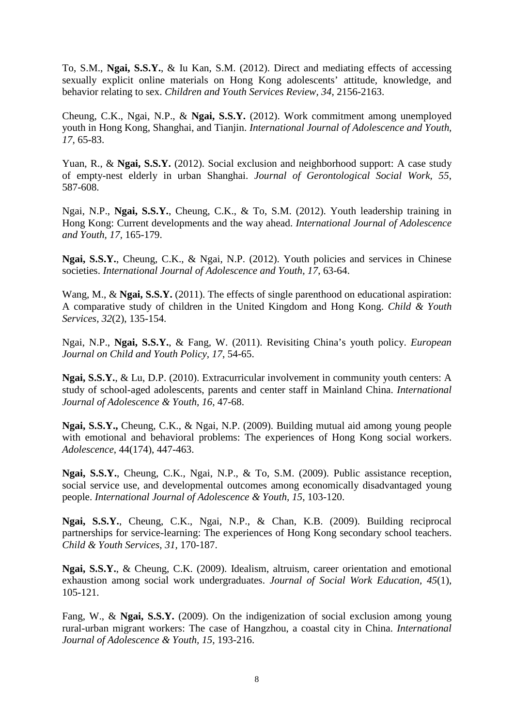To, S.M., **Ngai, S.S.Y.**, & Iu Kan, S.M. (2012). Direct and mediating effects of accessing sexually explicit online materials on Hong Kong adolescents' attitude, knowledge, and behavior relating to sex. *Children and Youth Services Review, 34*, 2156-2163.

Cheung, C.K., Ngai, N.P., & **Ngai, S.S.Y.** (2012). Work commitment among unemployed youth in Hong Kong, Shanghai, and Tianjin. *International Journal of Adolescence and Youth, 17,* 65-83.

Yuan, R., & **Ngai, S.S.Y.** (2012). Social exclusion and neighborhood support: A case study of empty-nest elderly in urban Shanghai. *Journal of Gerontological Social Work, 55*, 587-608.

Ngai, N.P., **Ngai, S.S.Y.**, Cheung, C.K., & To, S.M. (2012). Youth leadership training in Hong Kong: Current developments and the way ahead. *International Journal of Adolescence and Youth, 17,* 165-179.

**Ngai, S.S.Y.**, Cheung, C.K., & Ngai, N.P. (2012). Youth policies and services in Chinese societies. *International Journal of Adolescence and Youth, 17*, 63-64.

Wang, M., & **Ngai, S.S.Y.** (2011). The effects of single parenthood on educational aspiration: A comparative study of children in the United Kingdom and Hong Kong. *Child & Youth Services, 32*(2), 135-154.

Ngai, N.P., **Ngai, S.S.Y.**, & Fang, W. (2011). Revisiting China's youth policy. *European Journal on Child and Youth Policy, 17*, 54-65.

**Ngai, S.S.Y.**, & Lu, D.P. (2010). Extracurricular involvement in community youth centers: A study of school-aged adolescents, parents and center staff in Mainland China. *International Journal of Adolescence & Youth, 16,* 47-68.

**Ngai, S.S.Y.,** Cheung, C.K., & Ngai, N.P. (2009). Building mutual aid among young people with emotional and behavioral problems: The experiences of Hong Kong social workers. *Adolescence*, 44(174), 447-463.

**Ngai, S.S.Y.**, Cheung, C.K., Ngai, N.P., & To, S.M. (2009). Public assistance reception, social service use, and developmental outcomes among economically disadvantaged young people. *International Journal of Adolescence & Youth, 15,* 103-120.

**Ngai, S.S.Y.**, Cheung, C.K., Ngai, N.P., & Chan, K.B. (2009). Building reciprocal partnerships for service-learning: The experiences of Hong Kong secondary school teachers. *Child & Youth Services, 31,* 170-187.

**Ngai, S.S.Y.**, & Cheung, C.K. (2009). Idealism, altruism, career orientation and emotional exhaustion among social work undergraduates. *Journal of Social Work Education, 45*(1), 105-121.

Fang, W., & **Ngai, S.S.Y.** (2009). On the indigenization of social exclusion among young rural-urban migrant workers: The case of Hangzhou, a coastal city in China. *International Journal of Adolescence & Youth, 15,* 193-216.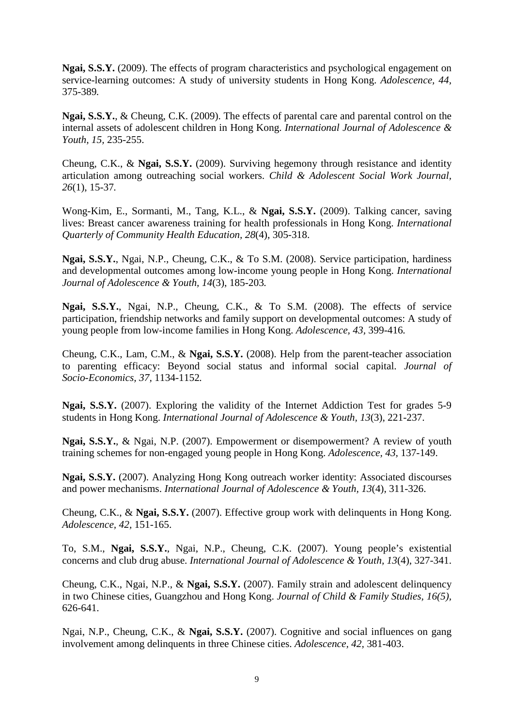**Ngai, S.S.Y.** (2009). The effects of program characteristics and psychological engagement on service-learning outcomes: A study of university students in Hong Kong. *Adolescence, 44,*  375-389*.* 

**Ngai, S.S.Y.**, & Cheung, C.K. (2009). The effects of parental care and parental control on the internal assets of adolescent children in Hong Kong. *International Journal of Adolescence & Youth, 15,* 235-255.

Cheung, C.K., & **Ngai, S.S.Y.** (2009). Surviving hegemony through resistance and identity articulation among outreaching social workers. *Child & Adolescent Social Work Journal, 26*(1), 15-37*.* 

Wong-Kim, E., Sormanti, M., Tang, K.L., & **Ngai, S.S.Y.** (2009). Talking cancer, saving lives: Breast cancer awareness training for health professionals in Hong Kong. *International Quarterly of Community Health Education, 28*(4), 305-318.

**Ngai, S.S.Y.**, Ngai, N.P., Cheung, C.K., & To S.M. (2008). Service participation, hardiness and developmental outcomes among low-income young people in Hong Kong. *International Journal of Adolescence & Youth, 14*(3), 185-203*.* 

**Ngai, S.S.Y.**, Ngai, N.P., Cheung, C.K., & To S.M. (2008). The effects of service participation, friendship networks and family support on developmental outcomes: A study of young people from low-income families in Hong Kong. *Adolescence, 43,* 399-416*.* 

Cheung, C.K., Lam, C.M., & **Ngai, S.S.Y.** (2008). Help from the parent-teacher association to parenting efficacy: Beyond social status and informal social capital. *Journal of Socio-Economics, 37,* 1134-1152*.* 

**Ngai, S.S.Y.** (2007). Exploring the validity of the Internet Addiction Test for grades 5-9 students in Hong Kong. *International Journal of Adolescence & Youth, 13*(3), 221-237.

**Ngai, S.S.Y.**, & Ngai, N.P. (2007). Empowerment or disempowerment? A review of youth training schemes for non-engaged young people in Hong Kong. *Adolescence, 43,* 137-149.

**Ngai, S.S.Y.** (2007). Analyzing Hong Kong outreach worker identity: Associated discourses and power mechanisms. *International Journal of Adolescence & Youth, 13*(4), 311-326.

Cheung, C.K., & **Ngai, S.S.Y.** (2007). Effective group work with delinquents in Hong Kong. *Adolescence, 42,* 151-165.

To, S.M., **Ngai, S.S.Y.**, Ngai, N.P., Cheung, C.K. (2007). Young people's existential concerns and club drug abuse. *International Journal of Adolescence & Youth, 13*(4), 327-341.

Cheung, C.K., Ngai, N.P., & **Ngai, S.S.Y.** (2007). Family strain and adolescent delinquency in two Chinese cities, Guangzhou and Hong Kong. *Journal of Child & Family Studies, 16(5),*  626-641.

Ngai, N.P., Cheung, C.K., & **Ngai, S.S.Y.** (2007). Cognitive and social influences on gang involvement among delinquents in three Chinese cities. *Adolescence, 42,* 381-403.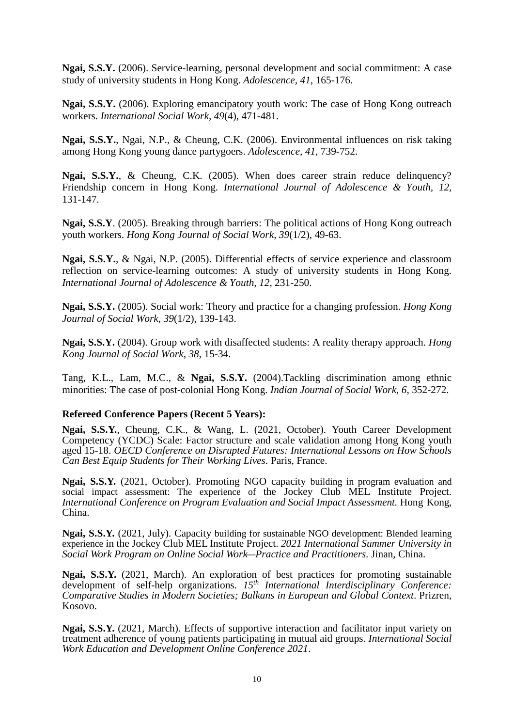**Ngai, S.S.Y.** (2006). Service-learning, personal development and social commitment: A case study of university students in Hong Kong. *Adolescence, 41,* 165-176.

**Ngai, S.S.Y.** (2006). Exploring emancipatory youth work: The case of Hong Kong outreach workers. *International Social Work, 49*(4), 471-481.

**Ngai, S.S.Y.**, Ngai, N.P., & Cheung, C.K. (2006). Environmental influences on risk taking among Hong Kong young dance partygoers. *Adolescence, 41,* 739-752.

Ngai, S.S.Y., & Cheung, C.K. (2005). When does career strain reduce delinquency? Friendship concern in Hong Kong. *International Journal of Adolescence & Youth, 12*, 131-147.

**Ngai, S.S.Y**. (2005). Breaking through barriers: The political actions of Hong Kong outreach youth workers. *Hong Kong Journal of Social Work, 39*(1/2), 49-63.

**Ngai, S.S.Y.**, & Ngai, N.P. (2005). Differential effects of service experience and classroom reflection on service-learning outcomes: A study of university students in Hong Kong. *International Journal of Adolescence & Youth, 12*, 231-250.

**Ngai, S.S.Y.** (2005). Social work: Theory and practice for a changing profession. *Hong Kong Journal of Social Work, 39*(1/2), 139-143.

**Ngai, S.S.Y.** (2004). Group work with disaffected students: A reality therapy approach. *Hong Kong Journal of Social Work, 38*, 15-34.

Tang, K.L., Lam, M.C., & **Ngai, S.S.Y.** (2004).Tackling discrimination among ethnic minorities: The case of post-colonial Hong Kong. *Indian Journal of Social Work, 6*, 352-272.

#### **Refereed Conference Papers (Recent 5 Years):**

**Ngai, S.S.Y.**, Cheung, C.K., & Wang, L. (2021, October). Youth Career Development Competency (YCDC) Scale: Factor structure and scale validation among Hong Kong youth aged 15-18. *OECD Conference on Disrupted Futures: International Lessons on How Schools Can Best Equip Students for Their Working Lives*. Paris, France.

**Ngai, S.S.Y.** (2021, October). Promoting NGO capacity building in program evaluation and social impact assessment: The experience of the Jockey Club MEL Institute Project. *International Conference on Program Evaluation and Social Impact Assessment.* Hong Kong, China.

**Ngai, S.S.Y.** (2021, July). Capacity building for sustainable NGO development: Blended learning experience in the Jockey Club MEL Institute Project. *2021 International Summer University in Social Work Program on Online Social Work—Practice and Practitioners.* Jinan, China.

**Ngai, S.S.Y.** (2021, March). An exploration of best practices for promoting sustainable development of self-help organizations.  $15<sup>th</sup>$  *International Interdisciplinary Conference: Comparative Studies in Modern Societies; Balkans in European and Global Context*. Prizren, Kosovo.

**Ngai, S.S.Y.** (2021, March). Effects of supportive interaction and facilitator input variety on treatment adherence of young patients participating in mutual aid groups. *International Social Work Education and Development Online Conference 2021*.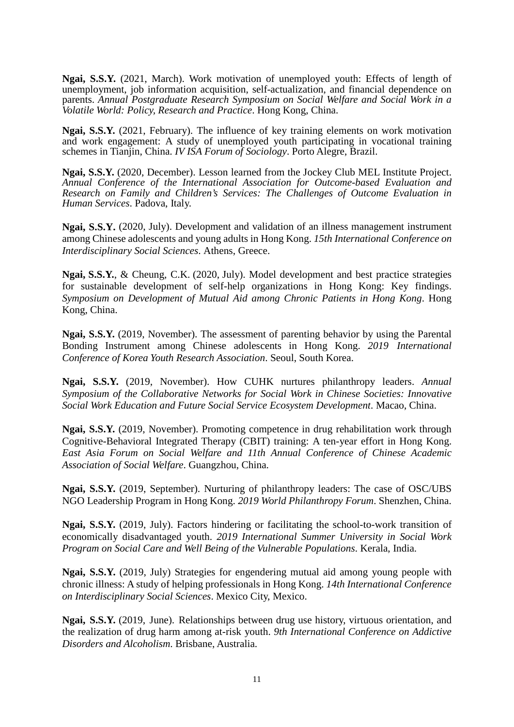**Ngai, S.S.Y.** (2021, March). Work motivation of unemployed youth: Effects of length of unemployment, job information acquisition, self-actualization, and financial dependence on parents. *Annual Postgraduate Research Symposium on Social Welfare and Social Work in a Volatile World: Policy, Research and Practice*. Hong Kong, China.

**Ngai, S.S.Y.** (2021, February). The influence of key training elements on work motivation and work engagement: A study of unemployed youth participating in vocational training schemes in Tianjin, China. *IV ISA Forum of Sociology*. Porto Alegre, Brazil.

**Ngai, S.S.Y.** (2020, December). Lesson learned from the Jockey Club MEL Institute Project. *Annual Conference of the International Association for Outcome-based Evaluation and Research on Family and Children's Services: The Challenges of Outcome Evaluation in Human Services*. Padova, Italy.

**Ngai, S.S.Y.** (2020, July). Development and validation of an illness management instrument among Chinese adolescents and young adults in Hong Kong. *15th International Conference on Interdisciplinary Social Sciences*. Athens, Greece.

**Ngai, S.S.Y.**, & Cheung, C.K. (2020, July). Model development and best practice strategies for sustainable development of self-help organizations in Hong Kong: Key findings. *Symposium on Development of Mutual Aid among Chronic Patients in Hong Kong*. Hong Kong, China.

**Ngai, S.S.Y.** (2019, November). The assessment of parenting behavior by using the Parental Bonding Instrument among Chinese adolescents in Hong Kong. *2019 International Conference of Korea Youth Research Association*. Seoul, South Korea.

**Ngai, S.S.Y.** (2019, November). How CUHK nurtures philanthropy leaders. *Annual Symposium of the Collaborative Networks for Social Work in Chinese Societies: Innovative Social Work Education and Future Social Service Ecosystem Development*. Macao, China.

**Ngai, S.S.Y.** (2019, November). Promoting competence in drug rehabilitation work through Cognitive-Behavioral Integrated Therapy (CBIT) training: A ten-year effort in Hong Kong. *East Asia Forum on Social Welfare and 11th Annual Conference of Chinese Academic Association of Social Welfare*. Guangzhou, China.

**Ngai, S.S.Y.** (2019, September). Nurturing of philanthropy leaders: The case of OSC/UBS NGO Leadership Program in Hong Kong. *2019 World Philanthropy Forum*. Shenzhen, China.

**Ngai, S.S.Y.** (2019, July). Factors hindering or facilitating the school-to-work transition of economically disadvantaged youth. *2019 International Summer University in Social Work Program on Social Care and Well Being of the Vulnerable Populations*. Kerala, India.

**Ngai, S.S.Y.** (2019, July) Strategies for engendering mutual aid among young people with chronic illness: A study of helping professionals in Hong Kong. *14th International Conference on Interdisciplinary Social Sciences*. Mexico City, Mexico.

**Ngai, S.S.Y.** (2019, June). Relationships between drug use history, virtuous orientation, and the realization of drug harm among at-risk youth. *9th International Conference on Addictive Disorders and Alcoholism*. Brisbane, Australia.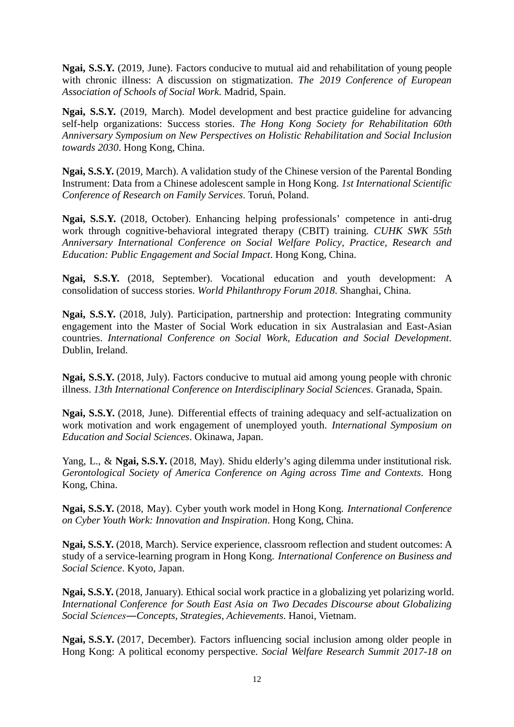**Ngai, S.S.Y.** (2019, June). Factors conducive to mutual aid and rehabilitation of young people with chronic illness: A discussion on stigmatization. *The 2019 Conference of European Association of Schools of Social Work*. Madrid, Spain.

**Ngai, S.S.Y.** (2019, March). Model development and best practice guideline for advancing self-help organizations: Success stories. *The Hong Kong Society for Rehabilitation 60th Anniversary Symposium on New Perspectives on Holistic Rehabilitation and Social Inclusion towards 2030*. Hong Kong, China.

**Ngai, S.S.Y.** (2019, March). A validation study of the Chinese version of the Parental Bonding Instrument: Data from a Chinese adolescent sample in Hong Kong. *1st International Scientific Conference of Research on Family Services*. Toruń, Poland.

**Ngai, S.S.Y.** (2018, October). Enhancing helping professionals' competence in anti-drug work through cognitive-behavioral integrated therapy (CBIT) training. *CUHK SWK 55th Anniversary International Conference on Social Welfare Policy, Practice, Research and Education: Public Engagement and Social Impact*. Hong Kong, China.

**Ngai, S.S.Y.** (2018, September). Vocational education and youth development: A consolidation of success stories. *World Philanthropy Forum 2018*. Shanghai, China.

**Ngai, S.S.Y.** (2018, July). Participation, partnership and protection: Integrating community engagement into the Master of Social Work education in six Australasian and East-Asian countries. *International Conference on Social Work, Education and Social Development*. Dublin, Ireland.

**Ngai, S.S.Y.** (2018, July). Factors conducive to mutual aid among young people with chronic illness. *13th International Conference on Interdisciplinary Social Sciences*. Granada, Spain.

**Ngai, S.S.Y.** (2018, June). Differential effects of training adequacy and self-actualization on work motivation and work engagement of unemployed youth. *International Symposium on Education and Social Sciences*. Okinawa, Japan.

Yang, L., & **Ngai, S.S.Y.** (2018, May). Shidu elderly's aging dilemma under institutional risk. *Gerontological Society of America Conference on Aging across Time and Contexts*. Hong Kong, China.

**Ngai, S.S.Y.** (2018, May). Cyber youth work model in Hong Kong. *International Conference on Cyber Youth Work: Innovation and Inspiration*. Hong Kong, China.

**Ngai, S.S.Y.** (2018, March). Service experience, classroom reflection and student outcomes: A study of a service-learning program in Hong Kong. *International Conference on Business and Social Science*. Kyoto, Japan.

**Ngai, S.S.Y.** (2018, January). Ethical social work practice in a globalizing yet polarizing world. *International Conference for South East Asia on Two Decades Discourse about Globalizing Social Sciences―Concepts, Strategies, Achievements*. Hanoi, Vietnam.

**Ngai, S.S.Y.** (2017, December). Factors influencing social inclusion among older people in Hong Kong: A political economy perspective. *Social Welfare Research Summit 2017-18 on*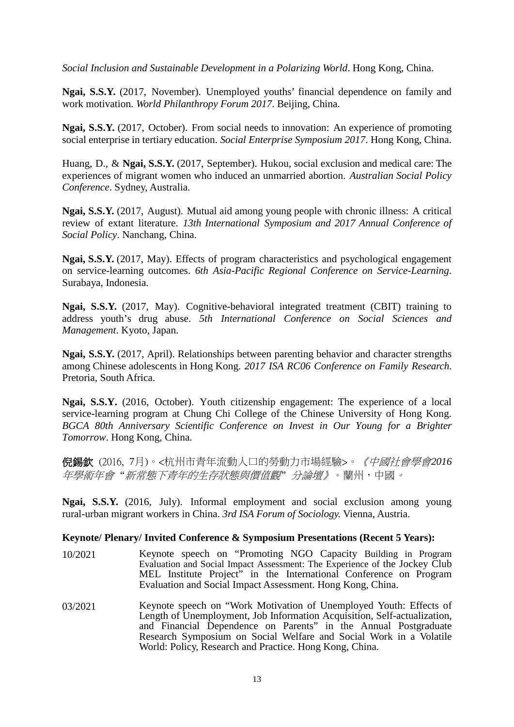*Social Inclusion and Sustainable Development in a Polarizing World*. Hong Kong, China.

**Ngai, S.S.Y.** (2017, November). Unemployed youths' financial dependence on family and work motivation. *World Philanthropy Forum 2017*. Beijing, China.

**Ngai, S.S.Y.** (2017, October). From social needs to innovation: An experience of promoting social enterprise in tertiary education. *Social Enterprise Symposium 2017*. Hong Kong, China.

Huang, D., & **Ngai, S.S.Y.** (2017, September). Hukou, social exclusion and medical care: The experiences of migrant women who induced an unmarried abortion. *Australian Social Policy Conference*. Sydney, Australia.

**Ngai, S.S.Y.** (2017, August). Mutual aid among young people with chronic illness: A critical review of extant literature. *13th International Symposium and 2017 Annual Conference of Social Policy*. Nanchang, China.

**Ngai, S.S.Y.** (2017, May). Effects of program characteristics and psychological engagement on service-learning outcomes. *6th Asia-Pacific Regional Conference on Service-Learning*. Surabaya, Indonesia.

**Ngai, S.S.Y.** (2017, May). Cognitive-behavioral integrated treatment (CBIT) training to address youth's drug abuse. *5th International Conference on Social Sciences and Management*. Kyoto, Japan.

**Ngai, S.S.Y.** (2017, April). Relationships between parenting behavior and character strengths among Chinese adolescents in Hong Kong. *2017 ISA RC06 Conference on Family Research*. Pretoria, South Africa.

**Ngai, S.S.Y.** (2016, October). Youth citizenship engagement: The experience of a local service-learning program at Chung Chi College of the Chinese University of Hong Kong. *BGCA 80th Anniversary Scientific Conference on Invest in Our Young for a Brighter Tomorrow*. Hong Kong, China.

倪錫欽 (2016, 7月)。<杭州市青年流動人口的勞動力市場經驗>。《中國社會學會*2016* 年學術年會 *"*新常態下青年的生存狀態與價值觀*"* 分論壇》。蘭州,中國。

**Ngai, S.S.Y.** (2016, July). Informal employment and social exclusion among young rural-urban migrant workers in China. *3rd ISA Forum of Sociology.* Vienna, Austria.

#### **Keynote/ Plenary/ Invited Conference & Symposium Presentations (Recent 5 Years):**

- 10/2021 Keynote speech on "Promoting NGO Capacity Building in Program Evaluation and Social Impact Assessment: The Experience of the Jockey Club MEL Institute Project" in the International Conference on Program Evaluation and Social Impact Assessment. Hong Kong, China.
- 03/2021 Keynote speech on "Work Motivation of Unemployed Youth: Effects of Length of Unemployment, Job Information Acquisition, Self-actualization, and Financial Dependence on Parents" in the Annual Postgraduate Research Symposium on Social Welfare and Social Work in a Volatile World: Policy, Research and Practice. Hong Kong, China.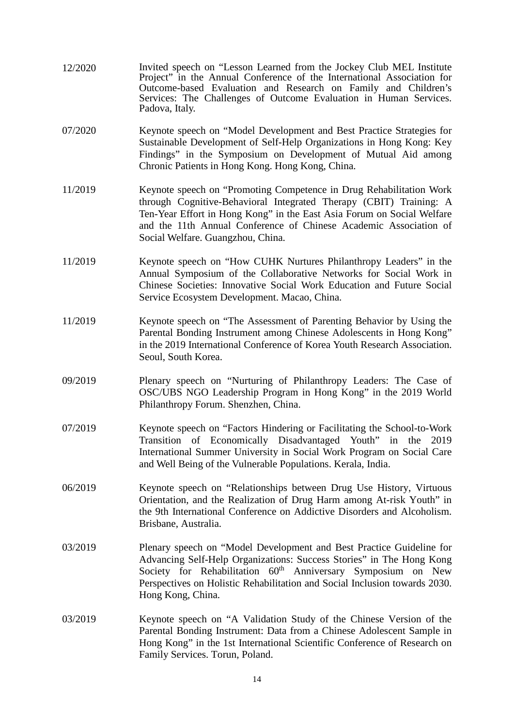- 12/2020 Invited speech on "Lesson Learned from the Jockey Club MEL Institute Project" in the Annual Conference of the International Association for Outcome-based Evaluation and Research on Family and Children's Services: The Challenges of Outcome Evaluation in Human Services. Padova, Italy.
- 07/2020 Keynote speech on "Model Development and Best Practice Strategies for Sustainable Development of Self-Help Organizations in Hong Kong: Key Findings" in the Symposium on Development of Mutual Aid among Chronic Patients in Hong Kong. Hong Kong, China.
- 11/2019 Keynote speech on "Promoting Competence in Drug Rehabilitation Work through Cognitive-Behavioral Integrated Therapy (CBIT) Training: A Ten-Year Effort in Hong Kong" in the East Asia Forum on Social Welfare and the 11th Annual Conference of Chinese Academic Association of Social Welfare. Guangzhou, China.
- 11/2019 Keynote speech on "How CUHK Nurtures Philanthropy Leaders" in the Annual Symposium of the Collaborative Networks for Social Work in Chinese Societies: Innovative Social Work Education and Future Social Service Ecosystem Development. Macao, China.
- 11/2019 Keynote speech on "The Assessment of Parenting Behavior by Using the Parental Bonding Instrument among Chinese Adolescents in Hong Kong" in the 2019 International Conference of Korea Youth Research Association. Seoul, South Korea.
- 09/2019 Plenary speech on "Nurturing of Philanthropy Leaders: The Case of OSC/UBS NGO Leadership Program in Hong Kong" in the 2019 World Philanthropy Forum. Shenzhen, China.
- 07/2019 Keynote speech on "Factors Hindering or Facilitating the School-to-Work Transition of Economically Disadvantaged Youth" in the 2019 International Summer University in Social Work Program on Social Care and Well Being of the Vulnerable Populations. Kerala, India.
- 06/2019 Keynote speech on "Relationships between Drug Use History, Virtuous Orientation, and the Realization of Drug Harm among At-risk Youth" in the 9th International Conference on Addictive Disorders and Alcoholism. Brisbane, Australia.
- 03/2019 Plenary speech on "Model Development and Best Practice Guideline for Advancing Self-Help Organizations: Success Stories" in The Hong Kong Society for Rehabilitation 60<sup>th</sup> Anniversary Symposium on New Perspectives on Holistic Rehabilitation and Social Inclusion towards 2030. Hong Kong, China.
- 03/2019 Keynote speech on "A Validation Study of the Chinese Version of the Parental Bonding Instrument: Data from a Chinese Adolescent Sample in Hong Kong" in the 1st International Scientific Conference of Research on Family Services. Torun, Poland.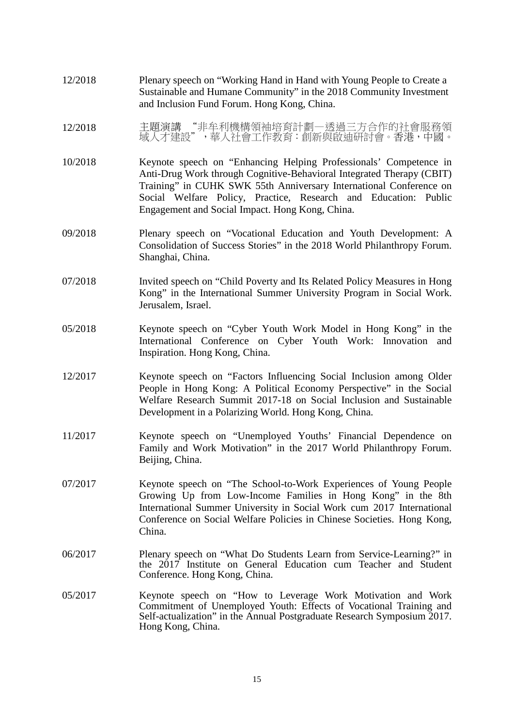- 12/2018 Plenary speech on "Working Hand in Hand with Young People to Create a Sustainable and Humane Community" in the 2018 Community Investment and Inclusion Fund Forum. Hong Kong, China.
- 12/2018 主題演講 "非牟利機構領袖培育計劃—透過三方合作的社會服務領 域人才建設",華人社會工作教育:創新與啟迪研討會。香港,中國。
- 10/2018 Keynote speech on "Enhancing Helping Professionals' Competence in Anti-Drug Work through Cognitive-Behavioral Integrated Therapy (CBIT) Training" in CUHK SWK 55th Anniversary International Conference on Social Welfare Policy, Practice, Research and Education: Public Engagement and Social Impact. Hong Kong, China.
- 09/2018 Plenary speech on "Vocational Education and Youth Development: A Consolidation of Success Stories" in the 2018 World Philanthropy Forum. Shanghai, China.
- 07/2018 Invited speech on "Child Poverty and Its Related Policy Measures in Hong Kong" in the International Summer University Program in Social Work. Jerusalem, Israel.
- 05/2018 Keynote speech on "Cyber Youth Work Model in Hong Kong" in the International Conference on Cyber Youth Work: Innovation and Inspiration. Hong Kong, China.
- 12/2017 Keynote speech on "Factors Influencing Social Inclusion among Older People in Hong Kong: A Political Economy Perspective" in the Social Welfare Research Summit 2017-18 on Social Inclusion and Sustainable Development in a Polarizing World. Hong Kong, China.
- 11/2017 Keynote speech on "Unemployed Youths' Financial Dependence on Family and Work Motivation" in the 2017 World Philanthropy Forum. Beijing, China.
- 07/2017 Keynote speech on "The School-to-Work Experiences of Young People Growing Up from Low-Income Families in Hong Kong" in the 8th International Summer University in Social Work cum 2017 International Conference on Social Welfare Policies in Chinese Societies. Hong Kong, China.
- 06/2017 Plenary speech on "What Do Students Learn from Service-Learning?" in the 2017 Institute on General Education cum Teacher and Student Conference. Hong Kong, China.
- 05/2017 Keynote speech on "How to Leverage Work Motivation and Work Commitment of Unemployed Youth: Effects of Vocational Training and Self-actualization" in the Annual Postgraduate Research Symposium 2017. Hong Kong, China.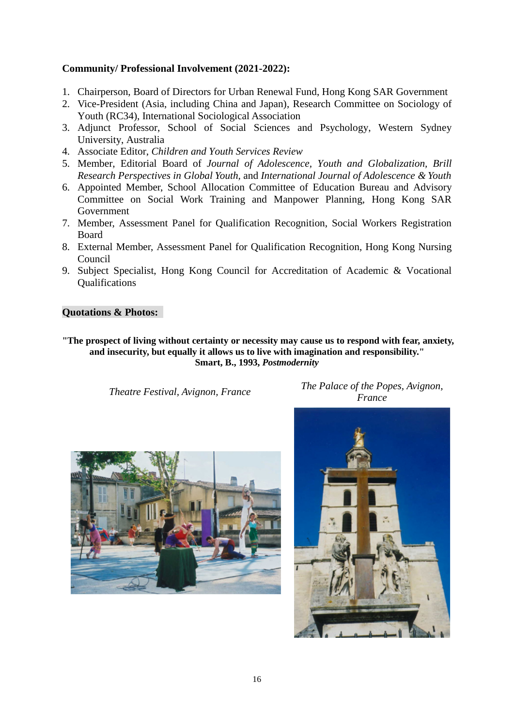# **Community/ Professional Involvement (2021-2022):**

- 1. Chairperson, Board of Directors for Urban Renewal Fund, Hong Kong SAR Government
- 2. Vice-President (Asia, including China and Japan), Research Committee on Sociology of Youth (RC34), International Sociological Association
- 3. Adjunct Professor, School of Social Sciences and Psychology, Western Sydney University, Australia
- 4. Associate Editor, *Children and Youth Services Review*
- 5. Member, Editorial Board of *Journal of Adolescence, Youth and Globalization, Brill Research Perspectives in Global Youth,* and *International Journal of Adolescence & Youth*
- 6. Appointed Member, School Allocation Committee of Education Bureau and Advisory Committee on Social Work Training and Manpower Planning, Hong Kong SAR Government
- 7. Member, Assessment Panel for Qualification Recognition, Social Workers Registration Board
- 8. External Member, Assessment Panel for Qualification Recognition, Hong Kong Nursing Council
- 9. Subject Specialist, Hong Kong Council for Accreditation of Academic & Vocational **Oualifications**

#### **Quotations & Photos:**

**"The prospect of living without certainty or necessity may cause us to respond with fear, anxiety, and insecurity, but equally it allows us to live with imagination and responsibility." Smart, B., 1993,** *Postmodernity*

*Theatre Festival, Avignon, France The Palace of the Popes, Avignon, France*